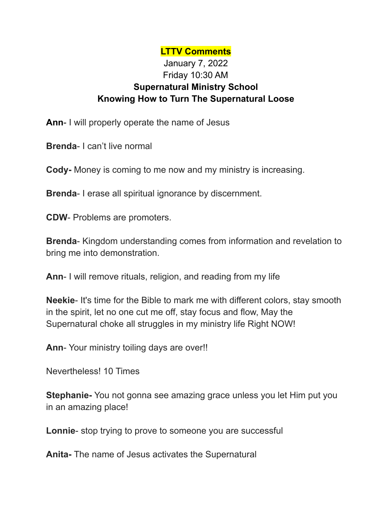## **LTTV Comments**

## January 7, 2022 Friday 10:30 AM **Supernatural Ministry School Knowing How to Turn The Supernatural Loose**

**Ann**- I will properly operate the name of Jesus

**Brenda**- I can't live normal

**Cody-** Money is coming to me now and my ministry is increasing.

**Brenda**- I erase all spiritual ignorance by discernment.

**CDW**- Problems are promoters.

**Brenda**- Kingdom understanding comes from information and revelation to bring me into demonstration.

**Ann**- I will remove rituals, religion, and reading from my life

**Neekie**- It's time for the Bible to mark me with different colors, stay smooth in the spirit, let no one cut me off, stay focus and flow, May the Supernatural choke all struggles in my ministry life Right NOW!

**Ann**- Your ministry toiling days are over!!

Nevertheless! 10 Times

**Stephanie-** You not gonna see amazing grace unless you let Him put you in an amazing place!

**Lonnie**- stop trying to prove to someone you are successful

**Anita-** The name of Jesus activates the Supernatural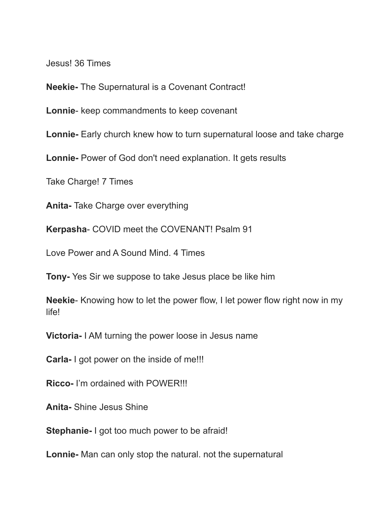Jesus! 36 Times

**Neekie-** The Supernatural is a Covenant Contract!

**Lonnie**- keep commandments to keep covenant

**Lonnie-** Early church knew how to turn supernatural loose and take charge

**Lonnie-** Power of God don't need explanation. It gets results

Take Charge! 7 Times

**Anita-** Take Charge over everything

**Kerpasha**- COVID meet the COVENANT! Psalm 91

Love Power and A Sound Mind. 4 Times

**Tony-** Yes Sir we suppose to take Jesus place be like him

**Neekie**- Knowing how to let the power flow, I let power flow right now in my life!

**Victoria-** I AM turning the power loose in Jesus name

**Carla-** I got power on the inside of me!!!

**Ricco-** I'm ordained with POWER!!!

**Anita-** Shine Jesus Shine

**Stephanie-** I got too much power to be afraid!

**Lonnie-** Man can only stop the natural. not the supernatural